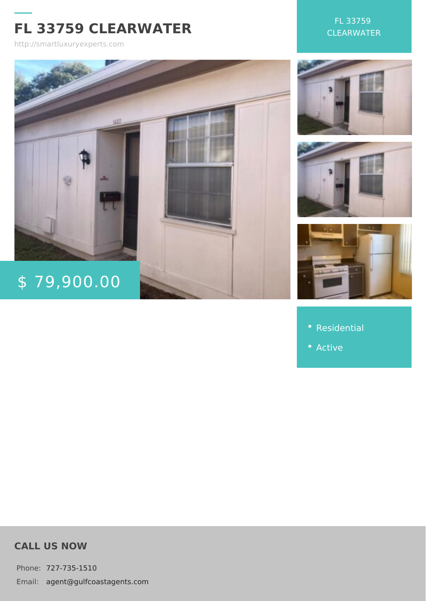## FL 33759 CLEARWATER

http://smartluxuryexperts.com

FL 33759 CLEARWATER

# $$79,900.$

- [Residen](http://smartluxuryexperts.com/es_category/residential/)tial
- 

## CALL US NOW

Phone727-735-1510 Email:agent@gulfcoastagents.com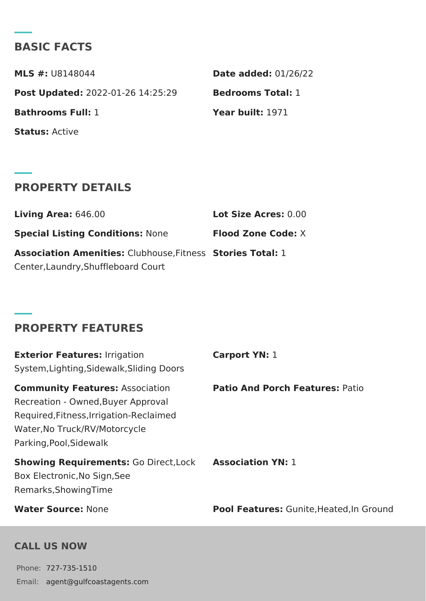## BASIC FACTS

 $MLS$  #: $UB148044$  Date added:  $1/26/22$ Post Update @022-01-26 14:25:29 Bedrooms Total: Bathrooms Full: 1 Year built: 1971 StatusActive

## PROPERTY DETAILS

Living Are \$46.00 Lot Size Acress00 Special Listing ConditNoomse: Flood Zone Cooke: Association AmenitCelsthouse, Fit& essies Total: Center,Laundry,Shuffleboard Court

### PROPERTY FEATURES

Exterior Featurersigation System,Lighting,Sidewalk,Sliding Doors Carport YN:

Community Featur Association Patio And Porch FeatuPraetsion Recreation - Owned,Buyer Approval Required,Fitness,Irrigation-Reclaimed Water,No Truck/RV/Motorcycle Parking,Pool,Sidewalk

Showing RequiremenGo: Direct, Lockssociation Y1N: Box Electronic,No Sign,See Remarks,ShowingTime

Water Sourcelone **None Pool FeatureGunite, Heated, In Grou** 

#### CALL US NOW

Phone727-735-1510 Email:agent@gulfcoastagents.com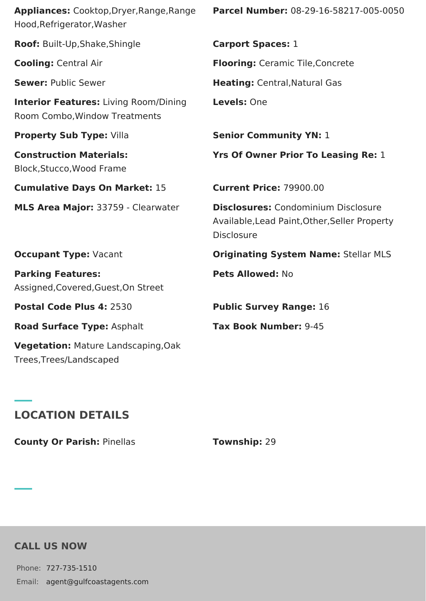| Appliances: Cooktop, Dryer, Range, Range<br>Hood, Refrigerator, Washer        | Parcel Number: 08-29-16-58217-005-0050                                                                    |
|-------------------------------------------------------------------------------|-----------------------------------------------------------------------------------------------------------|
| Roof: Built-Up, Shake, Shingle                                                | <b>Carport Spaces: 1</b>                                                                                  |
| <b>Cooling: Central Air</b>                                                   | <b>Flooring:</b> Ceramic Tile, Concrete                                                                   |
| <b>Sewer: Public Sewer</b>                                                    | Heating: Central, Natural Gas                                                                             |
| <b>Interior Features: Living Room/Dining</b><br>Room Combo, Window Treatments | Levels: One                                                                                               |
| Property Sub Type: Villa                                                      | <b>Senior Community YN: 1</b>                                                                             |
| <b>Construction Materials:</b><br>Block, Stucco, Wood Frame                   | <b>Yrs Of Owner Prior To Leasing Re: 1</b>                                                                |
| <b>Cumulative Days On Market: 15</b>                                          | <b>Current Price: 79900.00</b>                                                                            |
| MLS Area Major: 33759 - Clearwater                                            | <b>Disclosures: Condominium Disclosure</b><br>Available, Lead Paint, Other, Seller Property<br>Disclosure |
| <b>Occupant Type: Vacant</b>                                                  | <b>Originating System Name: Stellar MLS</b>                                                               |
| <b>Parking Features:</b><br>Assigned, Covered, Guest, On Street               | Pets Allowed: No                                                                                          |
| Postal Code Plus 4: 2530                                                      | <b>Public Survey Range: 16</b>                                                                            |
| Road Surface Type: Asphalt                                                    | Tax Book Number: 9-45                                                                                     |
| <b>Vegetation: Mature Landscaping, Oak</b><br>Trees, Trees/Landscaped         |                                                                                                           |

## **LOCATION DETAILS**

**County Or Parish:** Pinellas **Township:** 29

## **CALL US NOW**

Phone: 727-735-1510 Email: agent@gulfcoastagents.com